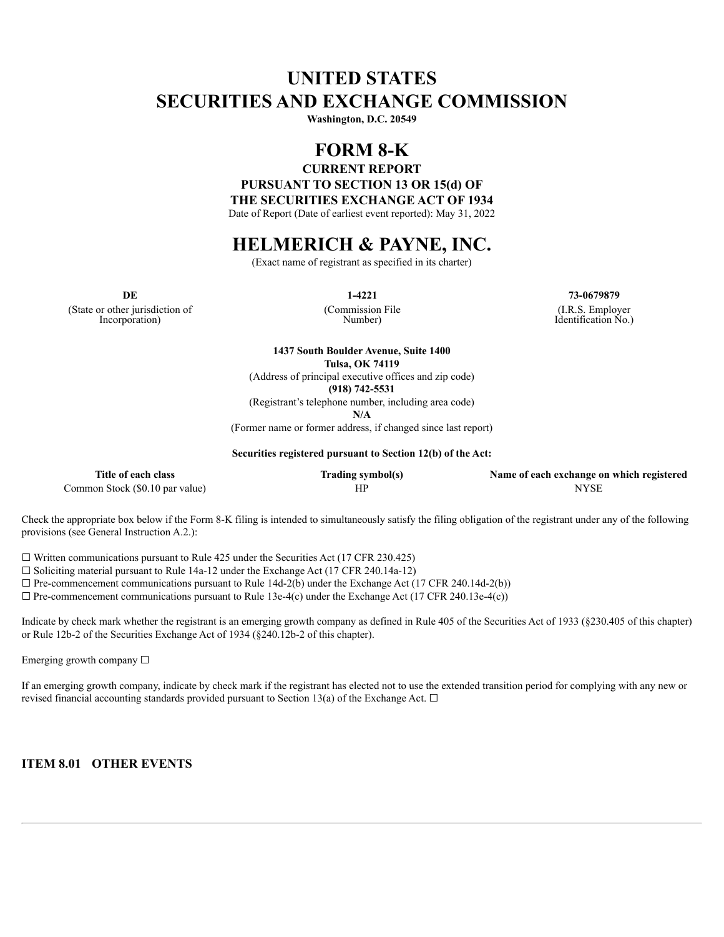# **UNITED STATES SECURITIES AND EXCHANGE COMMISSION**

**Washington, D.C. 20549**

### **FORM 8-K**

**CURRENT REPORT**

**PURSUANT TO SECTION 13 OR 15(d) OF**

**THE SECURITIES EXCHANGE ACT OF 1934**

Date of Report (Date of earliest event reported): May 31, 2022

## **HELMERICH & PAYNE, INC.**

(Exact name of registrant as specified in its charter)

(State or other jurisdiction of Incorporation)

(Commission File Number)

**DE 1-4221 73-0679879** (I.R.S. Employer

Identification No.)

**1437 South Boulder Avenue, Suite 1400 Tulsa, OK 74119**

(Address of principal executive offices and zip code)

**(918) 742-5531**

(Registrant's telephone number, including area code)

**N/A**

(Former name or former address, if changed since last report)

**Securities registered pursuant to Section 12(b) of the Act:**

| Title of each class             | Trading symbol(s) | Name of each exchange on which registered |
|---------------------------------|-------------------|-------------------------------------------|
| Common Stock (\$0.10 par value) |                   | <b>NYSE</b>                               |

Check the appropriate box below if the Form 8-K filing is intended to simultaneously satisfy the filing obligation of the registrant under any of the following provisions (see General Instruction A.2.):

 $\Box$  Written communications pursuant to Rule 425 under the Securities Act (17 CFR 230.425)

 $\Box$  Soliciting material pursuant to Rule 14a-12 under the Exchange Act (17 CFR 240.14a-12)

 $\Box$  Pre-commencement communications pursuant to Rule 14d-2(b) under the Exchange Act (17 CFR 240.14d-2(b))

 $\Box$  Pre-commencement communications pursuant to Rule 13e-4(c) under the Exchange Act (17 CFR 240.13e-4(c))

Indicate by check mark whether the registrant is an emerging growth company as defined in Rule 405 of the Securities Act of 1933 (§230.405 of this chapter) or Rule 12b-2 of the Securities Exchange Act of 1934 (§240.12b-2 of this chapter).

Emerging growth company  $\Box$ 

If an emerging growth company, indicate by check mark if the registrant has elected not to use the extended transition period for complying with any new or revised financial accounting standards provided pursuant to Section 13(a) of the Exchange Act.  $\Box$ 

**ITEM 8.01 OTHER EVENTS**